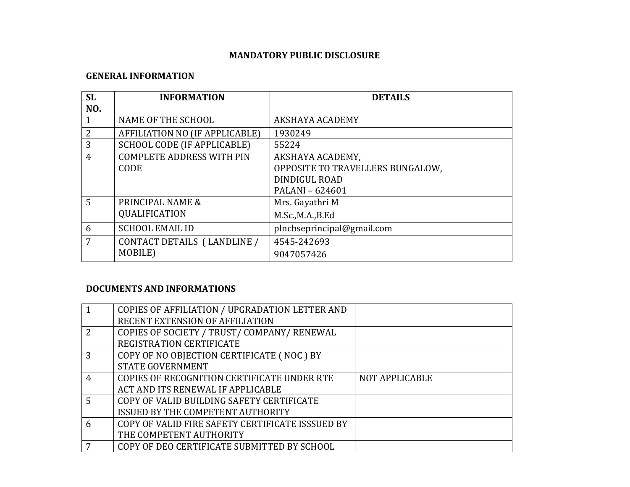# **MANDATORY PUBLIC DISCLOSURE**

#### **GENERAL INFORMATION**

| <b>SL</b>      | <b>INFORMATION</b>                    | <b>DETAILS</b>                   |
|----------------|---------------------------------------|----------------------------------|
| NO.            |                                       |                                  |
|                | NAME OF THE SCHOOL                    | AKSHAYA ACADEMY                  |
| $\overline{2}$ | <b>AFFILIATION NO (IF APPLICABLE)</b> | 1930249                          |
| 3              | SCHOOL CODE (IF APPLICABLE)           | 55224                            |
| $\overline{4}$ | <b>COMPLETE ADDRESS WITH PIN</b>      | AKSHAYA ACADEMY,                 |
|                | <b>CODE</b>                           | OPPOSITE TO TRAVELLERS BUNGALOW, |
|                |                                       | DINDIGUL ROAD                    |
|                |                                       | PALANI - 624601                  |
| 5              | PRINCIPAL NAME &                      | Mrs. Gayathri M                  |
|                | QUALIFICATION                         | M.Sc., M.A., B.Ed                |
| 6              | <b>SCHOOL EMAIL ID</b>                | plncbseprincipal@gmail.com       |
| 7              | CONTACT DETAILS (LANDLINE /           | 4545-242693                      |
|                | MOBILE)                               | 9047057426                       |

### **DOCUMENTS AND INFORMATIONS**

|   | COPIES OF AFFILIATION / UPGRADATION LETTER AND   |                       |
|---|--------------------------------------------------|-----------------------|
|   | RECENT EXTENSION OF AFFILIATION                  |                       |
| 2 | COPIES OF SOCIETY / TRUST/ COMPANY/ RENEWAL      |                       |
|   | REGISTRATION CERTIFICATE                         |                       |
| 3 | COPY OF NO OBJECTION CERTIFICATE (NOC) BY        |                       |
|   | <b>STATE GOVERNMENT</b>                          |                       |
| 4 | COPIES OF RECOGNITION CERTIFICATE UNDER RTE      | <b>NOT APPLICABLE</b> |
|   | ACT AND ITS RENEWAL IF APPLICABLE                |                       |
| 5 | COPY OF VALID BUILDING SAFETY CERTIFICATE        |                       |
|   | ISSUED BY THE COMPETENT AUTHORITY                |                       |
| 6 | COPY OF VALID FIRE SAFETY CERTIFICATE ISSSUED BY |                       |
|   | THE COMPETENT AUTHORITY                          |                       |
|   | COPY OF DEO CERTIFICATE SUBMITTED BY SCHOOL      |                       |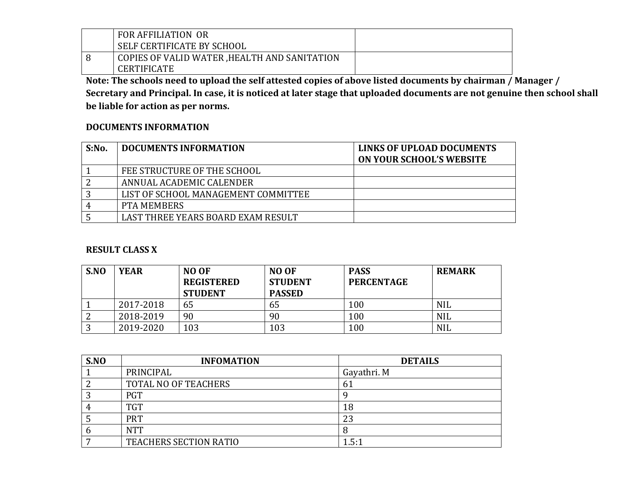| <b>FOR AFFILIATION OR</b>                    |  |
|----------------------------------------------|--|
| SELF CERTIFICATE BY SCHOOL                   |  |
| COPIES OF VALID WATER, HEALTH AND SANITATION |  |
| <b>CERTIFICATE</b>                           |  |

**Note: The schools need to upload the self attested copies of above listed documents by chairman / Manager / Secretary and Principal. In case, it is noticed at later stage that uploaded documents are not genuine then school shall be liable for action as per norms.** 

### **DOCUMENTS INFORMATION**

| S: No. | <b>DOCUMENTS INFORMATION</b>        | LINKS OF UPLOAD DOCUMENTS<br><b>ON YOUR SCHOOL'S WEBSITE</b> |
|--------|-------------------------------------|--------------------------------------------------------------|
|        | FEE STRUCTURE OF THE SCHOOL         |                                                              |
|        | ANNUAL ACADEMIC CALENDER            |                                                              |
| າ      | LIST OF SCHOOL MANAGEMENT COMMITTEE |                                                              |
|        | <b>PTA MEMBERS</b>                  |                                                              |
|        | LAST THREE YEARS BOARD EXAM RESULT  |                                                              |

### **RESULT CLASS X**

| S.NO | <b>YEAR</b> | NO OF<br><b>REGISTERED</b><br><b>STUDENT</b> | <b>NO OF</b><br><b>STUDENT</b><br><b>PASSED</b> | <b>PASS</b><br><b>PERCENTAGE</b> | <b>REMARK</b> |
|------|-------------|----------------------------------------------|-------------------------------------------------|----------------------------------|---------------|
|      | 2017-2018   | 65                                           | 65                                              | 100                              | <b>NIL</b>    |
|      | 2018-2019   | 90                                           | 90                                              | 100                              | NIL           |
| ັ    | 2019-2020   | 103                                          | 103                                             | 100                              | <b>NIL</b>    |

| S.NO | <b>INFOMATION</b>             | <b>DETAILS</b> |
|------|-------------------------------|----------------|
|      | PRINCIPAL                     | Gayathri. M    |
|      | TOTAL NO OF TEACHERS          | 61             |
|      | <b>PGT</b>                    |                |
|      | <b>TGT</b>                    | 18             |
| ل    | <b>PRT</b>                    | 23             |
| b    | <b>NTT</b>                    | 8              |
|      | <b>TEACHERS SECTION RATIO</b> | 1.5:1          |